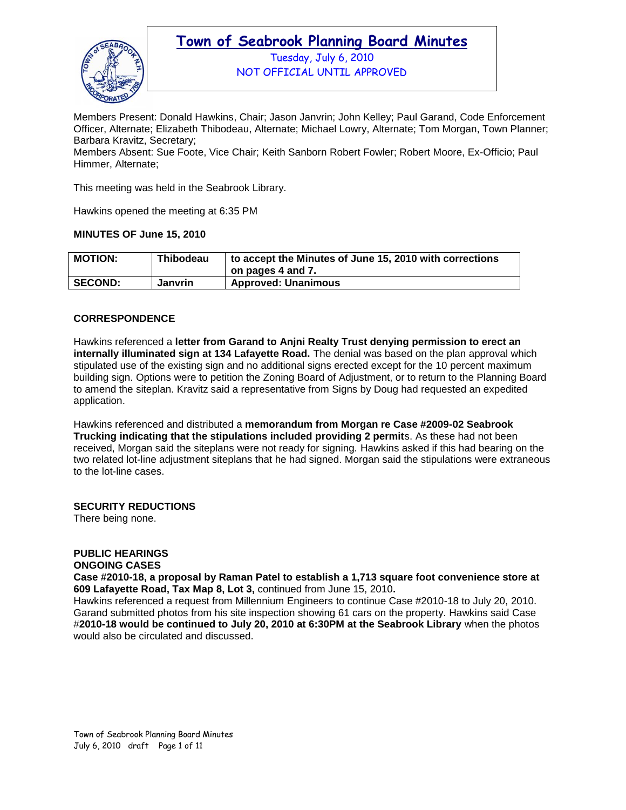

Tuesday, July 6, 2010 NOT OFFICIAL UNTIL APPROVED

Members Present: Donald Hawkins, Chair; Jason Janvrin; John Kelley; Paul Garand, Code Enforcement Officer, Alternate; Elizabeth Thibodeau, Alternate; Michael Lowry, Alternate; Tom Morgan, Town Planner; Barbara Kravitz, Secretary;

Members Absent: Sue Foote, Vice Chair; Keith Sanborn Robert Fowler; Robert Moore, Ex-Officio; Paul Himmer, Alternate;

This meeting was held in the Seabrook Library.

Hawkins opened the meeting at 6:35 PM

### **MINUTES OF June 15, 2010**

| <b>MOTION:</b> | Thibodeau      | to accept the Minutes of June 15, 2010 with corrections<br>on pages 4 and 7. |
|----------------|----------------|------------------------------------------------------------------------------|
| <b>SECOND:</b> | <b>Janvrin</b> | <b>Approved: Unanimous</b>                                                   |

### **CORRESPONDENCE**

Hawkins referenced a **letter from Garand to Anjni Realty Trust denying permission to erect an internally illuminated sign at 134 Lafayette Road.** The denial was based on the plan approval which stipulated use of the existing sign and no additional signs erected except for the 10 percent maximum building sign. Options were to petition the Zoning Board of Adjustment, or to return to the Planning Board to amend the siteplan. Kravitz said a representative from Signs by Doug had requested an expedited application.

Hawkins referenced and distributed a **memorandum from Morgan re Case #2009-02 Seabrook Trucking indicating that the stipulations included providing 2 permit**s. As these had not been received, Morgan said the siteplans were not ready for signing. Hawkins asked if this had bearing on the two related lot-line adjustment siteplans that he had signed. Morgan said the stipulations were extraneous to the lot-line cases.

### **SECURITY REDUCTIONS**

There being none.

### **PUBLIC HEARINGS**

### **ONGOING CASES**

**Case #2010-18, a proposal by Raman Patel to establish a 1,713 square foot convenience store at 609 Lafayette Road, Tax Map 8, Lot 3,** continued from June 15, 2010**.** 

Hawkins referenced a request from Millennium Engineers to continue Case #2010-18 to July 20, 2010. Garand submitted photos from his site inspection showing 61 cars on the property. Hawkins said Case #**2010-18 would be continued to July 20, 2010 at 6:30PM at the Seabrook Library** when the photos would also be circulated and discussed.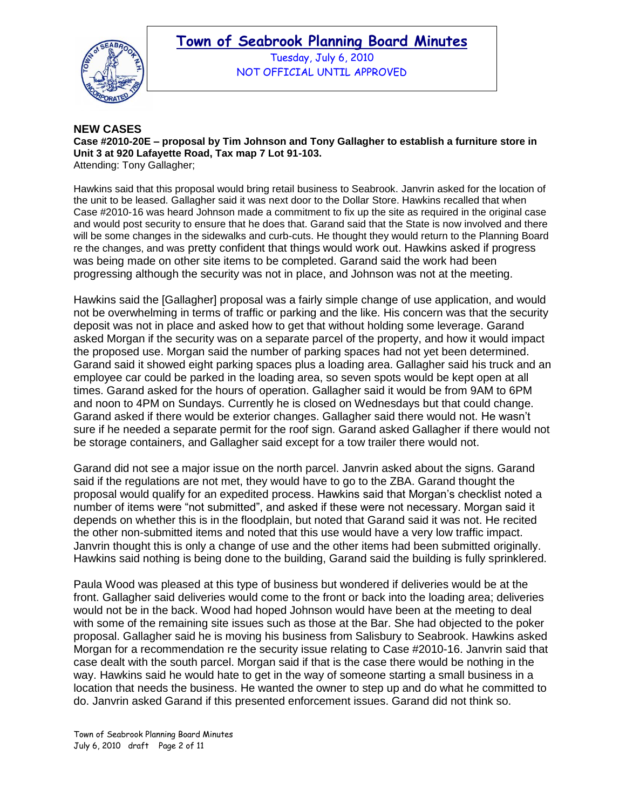



Tuesday, July 6, 2010 NOT OFFICIAL UNTIL APPROVED

### **NEW CASES**

**Case #2010-20E – proposal by Tim Johnson and Tony Gallagher to establish a furniture store in Unit 3 at 920 Lafayette Road, Tax map 7 Lot 91-103.**  Attending: Tony Gallagher;

Hawkins said that this proposal would bring retail business to Seabrook. Janvrin asked for the location of the unit to be leased. Gallagher said it was next door to the Dollar Store. Hawkins recalled that when Case #2010-16 was heard Johnson made a commitment to fix up the site as required in the original case and would post security to ensure that he does that. Garand said that the State is now involved and there will be some changes in the sidewalks and curb-cuts. He thought they would return to the Planning Board re the changes, and was pretty confident that things would work out. Hawkins asked if progress was being made on other site items to be completed. Garand said the work had been progressing although the security was not in place, and Johnson was not at the meeting.

Hawkins said the [Gallagher] proposal was a fairly simple change of use application, and would not be overwhelming in terms of traffic or parking and the like. His concern was that the security deposit was not in place and asked how to get that without holding some leverage. Garand asked Morgan if the security was on a separate parcel of the property, and how it would impact the proposed use. Morgan said the number of parking spaces had not yet been determined. Garand said it showed eight parking spaces plus a loading area. Gallagher said his truck and an employee car could be parked in the loading area, so seven spots would be kept open at all times. Garand asked for the hours of operation. Gallagher said it would be from 9AM to 6PM and noon to 4PM on Sundays. Currently he is closed on Wednesdays but that could change. Garand asked if there would be exterior changes. Gallagher said there would not. He wasn"t sure if he needed a separate permit for the roof sign. Garand asked Gallagher if there would not be storage containers, and Gallagher said except for a tow trailer there would not.

Garand did not see a major issue on the north parcel. Janvrin asked about the signs. Garand said if the regulations are not met, they would have to go to the ZBA. Garand thought the proposal would qualify for an expedited process. Hawkins said that Morgan"s checklist noted a number of items were "not submitted", and asked if these were not necessary. Morgan said it depends on whether this is in the floodplain, but noted that Garand said it was not. He recited the other non-submitted items and noted that this use would have a very low traffic impact. Janvrin thought this is only a change of use and the other items had been submitted originally. Hawkins said nothing is being done to the building, Garand said the building is fully sprinklered.

Paula Wood was pleased at this type of business but wondered if deliveries would be at the front. Gallagher said deliveries would come to the front or back into the loading area; deliveries would not be in the back. Wood had hoped Johnson would have been at the meeting to deal with some of the remaining site issues such as those at the Bar. She had objected to the poker proposal. Gallagher said he is moving his business from Salisbury to Seabrook. Hawkins asked Morgan for a recommendation re the security issue relating to Case #2010-16. Janvrin said that case dealt with the south parcel. Morgan said if that is the case there would be nothing in the way. Hawkins said he would hate to get in the way of someone starting a small business in a location that needs the business. He wanted the owner to step up and do what he committed to do. Janvrin asked Garand if this presented enforcement issues. Garand did not think so.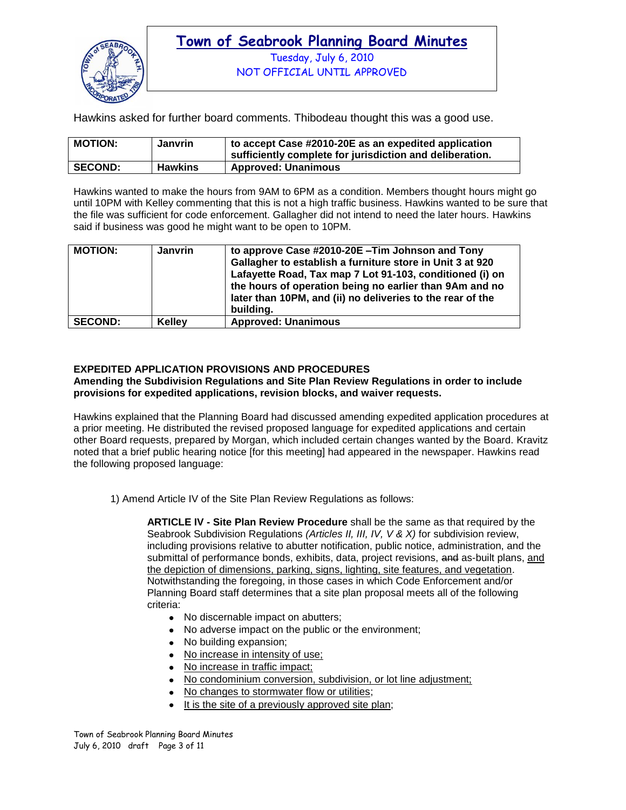

Tuesday, July 6, 2010 NOT OFFICIAL UNTIL APPROVED

Hawkins asked for further board comments. Thibodeau thought this was a good use.

| <b>MOTION:</b> | Janvrin        | to accept Case #2010-20E as an expedited application<br>sufficiently complete for jurisdiction and deliberation. |
|----------------|----------------|------------------------------------------------------------------------------------------------------------------|
| <b>SECOND:</b> | <b>Hawkins</b> | <b>Approved: Unanimous</b>                                                                                       |

Hawkins wanted to make the hours from 9AM to 6PM as a condition. Members thought hours might go until 10PM with Kelley commenting that this is not a high traffic business. Hawkins wanted to be sure that the file was sufficient for code enforcement. Gallagher did not intend to need the later hours. Hawkins said if business was good he might want to be open to 10PM.

| <b>MOTION:</b> | <b>Janvrin</b> | to approve Case #2010-20E - Tim Johnson and Tony<br>Gallagher to establish a furniture store in Unit 3 at 920<br>Lafayette Road, Tax map 7 Lot 91-103, conditioned (i) on<br>the hours of operation being no earlier than 9Am and no<br>later than 10PM, and (ii) no deliveries to the rear of the<br>buildina. |
|----------------|----------------|-----------------------------------------------------------------------------------------------------------------------------------------------------------------------------------------------------------------------------------------------------------------------------------------------------------------|
| <b>SECOND:</b> | <b>Kellev</b>  | <b>Approved: Unanimous</b>                                                                                                                                                                                                                                                                                      |

### **EXPEDITED APPLICATION PROVISIONS AND PROCEDURES**

**Amending the Subdivision Regulations and Site Plan Review Regulations in order to include provisions for expedited applications, revision blocks, and waiver requests.** 

Hawkins explained that the Planning Board had discussed amending expedited application procedures at a prior meeting. He distributed the revised proposed language for expedited applications and certain other Board requests, prepared by Morgan, which included certain changes wanted by the Board. Kravitz noted that a brief public hearing notice [for this meeting] had appeared in the newspaper. Hawkins read the following proposed language:

1) Amend Article IV of the Site Plan Review Regulations as follows:

**ARTICLE IV - Site Plan Review Procedure** shall be the same as that required by the Seabrook Subdivision Regulations *(Articles II, III, IV, V & X)* for subdivision review, including provisions relative to abutter notification, public notice, administration, and the submittal of performance bonds, exhibits, data, project revisions, and as-built plans, and the depiction of dimensions, parking, signs, lighting, site features, and vegetation. Notwithstanding the foregoing, in those cases in which Code Enforcement and/or Planning Board staff determines that a site plan proposal meets all of the following criteria:

- No discernable impact on abutters;
- No adverse impact on the public or the environment;
- No building expansion;
- No increase in intensity of use;
- No increase in traffic impact;
- No condominium conversion, subdivision, or lot line adjustment;
- No changes to stormwater flow or utilities;
- $\bullet$  It is the site of a previously approved site plan;

Town of Seabrook Planning Board Minutes July 6, 2010 draft Page 3 of 11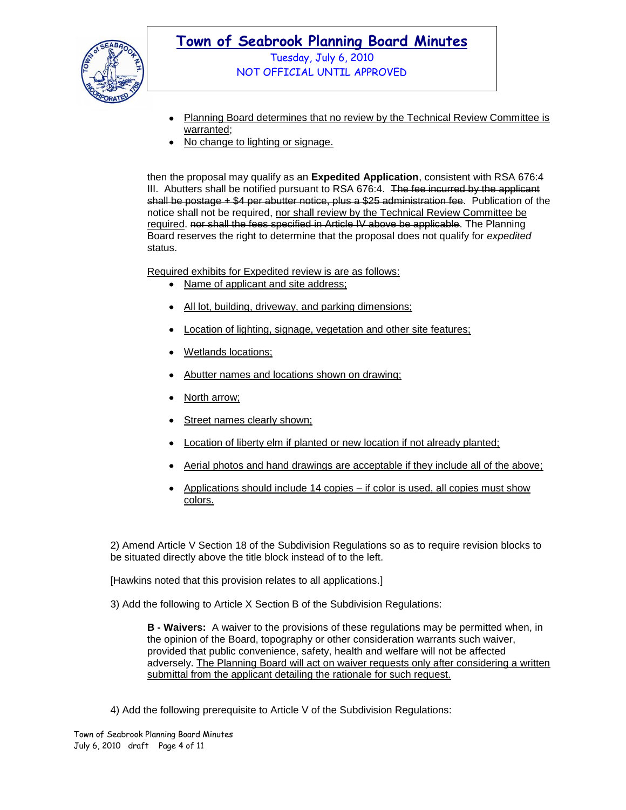

NOT OFFICIAL UNTIL APPROVED

- Planning Board determines that no review by the Technical Review Committee is  $\bullet$ warranted;
- No change to lighting or signage.

then the proposal may qualify as an **Expedited Application**, consistent with RSA 676:4 III. Abutters shall be notified pursuant to RSA 676:4. The fee incurred by the applicant shall be postage + \$4 per abutter notice, plus a \$25 administration fee. Publication of the notice shall not be required, nor shall review by the Technical Review Committee be required. nor shall the fees specified in Article IV above be applicable. The Planning Board reserves the right to determine that the proposal does not qualify for *expedited* status.

Required exhibits for Expedited review is are as follows:

- Name of applicant and site address:
- All lot, building, driveway, and parking dimensions;  $\bullet$
- Location of lighting, signage, vegetation and other site features;
- Wetlands locations;
- Abutter names and locations shown on drawing;
- North arrow;
- Street names clearly shown;
- Location of liberty elm if planted or new location if not already planted;
- Aerial photos and hand drawings are acceptable if they include all of the above;
- Applications should include 14 copies if color is used, all copies must show colors.

2) Amend Article V Section 18 of the Subdivision Regulations so as to require revision blocks to be situated directly above the title block instead of to the left.

[Hawkins noted that this provision relates to all applications.]

3) Add the following to Article X Section B of the Subdivision Regulations:

**B - Waivers:** A waiver to the provisions of these regulations may be permitted when, in the opinion of the Board, topography or other consideration warrants such waiver, provided that public convenience, safety, health and welfare will not be affected adversely. The Planning Board will act on waiver requests only after considering a written submittal from the applicant detailing the rationale for such request.

4) Add the following prerequisite to Article V of the Subdivision Regulations: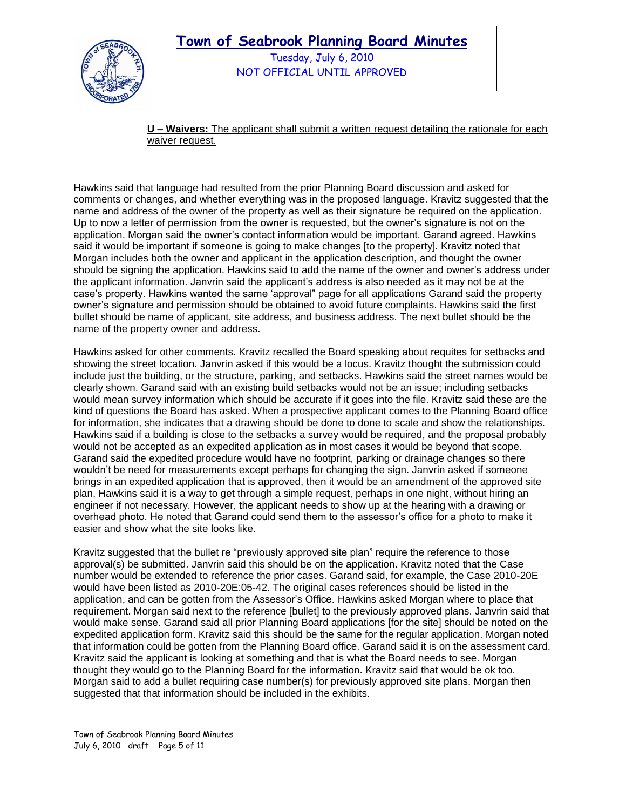

Tuesday, July 6, 2010 NOT OFFICIAL UNTIL APPROVED

**U – Waivers:** The applicant shall submit a written request detailing the rationale for each waiver request.

Hawkins said that language had resulted from the prior Planning Board discussion and asked for comments or changes, and whether everything was in the proposed language. Kravitz suggested that the name and address of the owner of the property as well as their signature be required on the application. Up to now a letter of permission from the owner is requested, but the owner"s signature is not on the application. Morgan said the owner"s contact information would be important. Garand agreed. Hawkins said it would be important if someone is going to make changes [to the property]. Kravitz noted that Morgan includes both the owner and applicant in the application description, and thought the owner should be signing the application. Hawkins said to add the name of the owner and owner"s address under the applicant information. Janvrin said the applicant"s address is also needed as it may not be at the case"s property. Hawkins wanted the same "approval" page for all applications Garand said the property owner"s signature and permission should be obtained to avoid future complaints. Hawkins said the first bullet should be name of applicant, site address, and business address. The next bullet should be the name of the property owner and address.

Hawkins asked for other comments. Kravitz recalled the Board speaking about requites for setbacks and showing the street location. Janvrin asked if this would be a locus. Kravitz thought the submission could include just the building, or the structure, parking, and setbacks. Hawkins said the street names would be clearly shown. Garand said with an existing build setbacks would not be an issue; including setbacks would mean survey information which should be accurate if it goes into the file. Kravitz said these are the kind of questions the Board has asked. When a prospective applicant comes to the Planning Board office for information, she indicates that a drawing should be done to done to scale and show the relationships. Hawkins said if a building is close to the setbacks a survey would be required, and the proposal probably would not be accepted as an expedited application as in most cases it would be beyond that scope. Garand said the expedited procedure would have no footprint, parking or drainage changes so there wouldn"t be need for measurements except perhaps for changing the sign. Janvrin asked if someone brings in an expedited application that is approved, then it would be an amendment of the approved site plan. Hawkins said it is a way to get through a simple request, perhaps in one night, without hiring an engineer if not necessary. However, the applicant needs to show up at the hearing with a drawing or overhead photo. He noted that Garand could send them to the assessor"s office for a photo to make it easier and show what the site looks like.

Kravitz suggested that the bullet re "previously approved site plan" require the reference to those approval(s) be submitted. Janvrin said this should be on the application. Kravitz noted that the Case number would be extended to reference the prior cases. Garand said, for example, the Case 2010-20E would have been listed as 2010-20E:05-42. The original cases references should be listed in the application, and can be gotten from the Assessor"s Office. Hawkins asked Morgan where to place that requirement. Morgan said next to the reference [bullet] to the previously approved plans. Janvrin said that would make sense. Garand said all prior Planning Board applications [for the site] should be noted on the expedited application form. Kravitz said this should be the same for the regular application. Morgan noted that information could be gotten from the Planning Board office. Garand said it is on the assessment card. Kravitz said the applicant is looking at something and that is what the Board needs to see. Morgan thought they would go to the Planning Board for the information. Kravitz said that would be ok too. Morgan said to add a bullet requiring case number(s) for previously approved site plans. Morgan then suggested that that information should be included in the exhibits.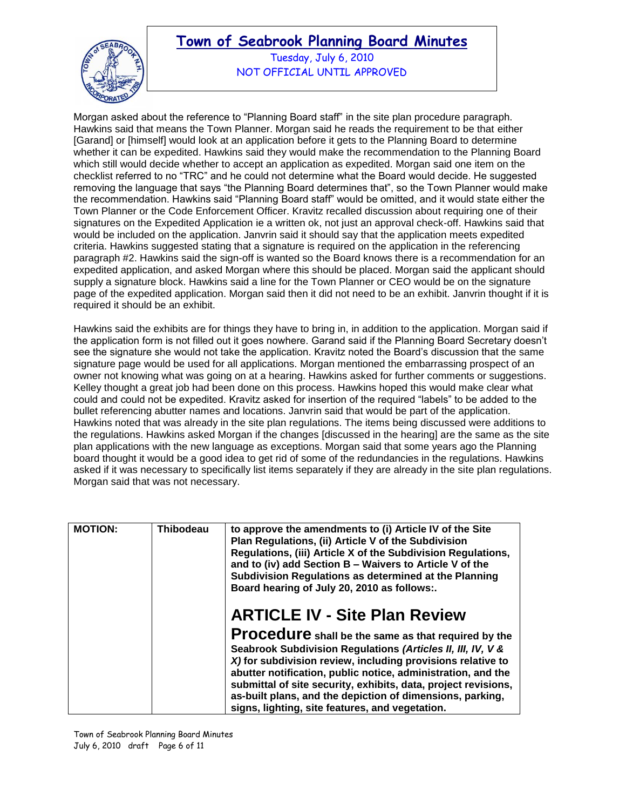

Tuesday, July 6, 2010 NOT OFFICIAL UNTIL APPROVED

Morgan asked about the reference to "Planning Board staff" in the site plan procedure paragraph. Hawkins said that means the Town Planner. Morgan said he reads the requirement to be that either [Garand] or [himself] would look at an application before it gets to the Planning Board to determine whether it can be expedited. Hawkins said they would make the recommendation to the Planning Board which still would decide whether to accept an application as expedited. Morgan said one item on the checklist referred to no "TRC" and he could not determine what the Board would decide. He suggested removing the language that says "the Planning Board determines that", so the Town Planner would make the recommendation. Hawkins said "Planning Board staff" would be omitted, and it would state either the Town Planner or the Code Enforcement Officer. Kravitz recalled discussion about requiring one of their signatures on the Expedited Application ie a written ok, not just an approval check-off. Hawkins said that would be included on the application. Janvrin said it should say that the application meets expedited criteria. Hawkins suggested stating that a signature is required on the application in the referencing paragraph #2. Hawkins said the sign-off is wanted so the Board knows there is a recommendation for an expedited application, and asked Morgan where this should be placed. Morgan said the applicant should supply a signature block. Hawkins said a line for the Town Planner or CEO would be on the signature page of the expedited application. Morgan said then it did not need to be an exhibit. Janvrin thought if it is required it should be an exhibit.

Hawkins said the exhibits are for things they have to bring in, in addition to the application. Morgan said if the application form is not filled out it goes nowhere. Garand said if the Planning Board Secretary doesn"t see the signature she would not take the application. Kravitz noted the Board"s discussion that the same signature page would be used for all applications. Morgan mentioned the embarrassing prospect of an owner not knowing what was going on at a hearing. Hawkins asked for further comments or suggestions. Kelley thought a great job had been done on this process. Hawkins hoped this would make clear what could and could not be expedited. Kravitz asked for insertion of the required "labels" to be added to the bullet referencing abutter names and locations. Janvrin said that would be part of the application. Hawkins noted that was already in the site plan regulations. The items being discussed were additions to the regulations. Hawkins asked Morgan if the changes [discussed in the hearing] are the same as the site plan applications with the new language as exceptions. Morgan said that some years ago the Planning board thought it would be a good idea to get rid of some of the redundancies in the regulations. Hawkins asked if it was necessary to specifically list items separately if they are already in the site plan regulations. Morgan said that was not necessary.

| <b>MOTION:</b> | Thibodeau | to approve the amendments to (i) Article IV of the Site<br>Plan Regulations, (ii) Article V of the Subdivision<br>Regulations, (iii) Article X of the Subdivision Regulations,<br>and to (iv) add Section B - Waivers to Article V of the<br>Subdivision Regulations as determined at the Planning<br>Board hearing of July 20, 2010 as follows:.                                                                                                                           |
|----------------|-----------|-----------------------------------------------------------------------------------------------------------------------------------------------------------------------------------------------------------------------------------------------------------------------------------------------------------------------------------------------------------------------------------------------------------------------------------------------------------------------------|
|                |           | <b>ARTICLE IV - Site Plan Review</b><br>Procedure shall be the same as that required by the<br>Seabrook Subdivision Regulations (Articles II, III, IV, V &<br>X) for subdivision review, including provisions relative to<br>abutter notification, public notice, administration, and the<br>submittal of site security, exhibits, data, project revisions,<br>as-built plans, and the depiction of dimensions, parking,<br>signs, lighting, site features, and vegetation. |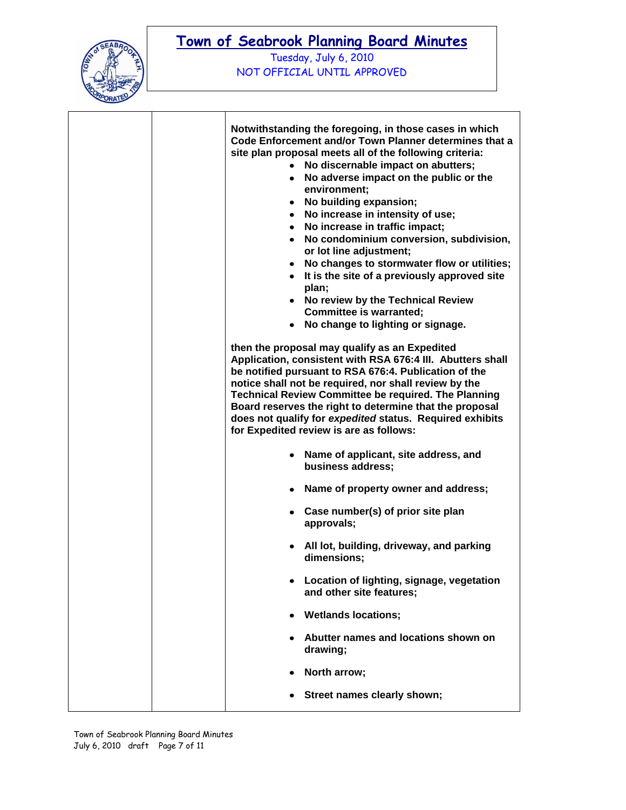

Tuesday, July 6, 2010 NOT OFFICIAL UNTIL APPROVED

|  | $\bullet$ | Notwithstanding the foregoing, in those cases in which<br>Code Enforcement and/or Town Planner determines that a<br>site plan proposal meets all of the following criteria:<br>No discernable impact on abutters;<br>• No adverse impact on the public or the<br>environment;<br>• No building expansion;<br>• No increase in intensity of use;<br>• No increase in traffic impact;<br>• No condominium conversion, subdivision,<br>or lot line adjustment;<br>• No changes to stormwater flow or utilities;<br>• It is the site of a previously approved site<br>plan;<br>• No review by the Technical Review<br><b>Committee is warranted;</b><br>• No change to lighting or signage.<br>then the proposal may qualify as an Expedited<br>Application, consistent with RSA 676:4 III. Abutters shall<br>be notified pursuant to RSA 676:4. Publication of the<br>notice shall not be required, nor shall review by the<br><b>Technical Review Committee be required. The Planning</b> |  |
|--|-----------|-----------------------------------------------------------------------------------------------------------------------------------------------------------------------------------------------------------------------------------------------------------------------------------------------------------------------------------------------------------------------------------------------------------------------------------------------------------------------------------------------------------------------------------------------------------------------------------------------------------------------------------------------------------------------------------------------------------------------------------------------------------------------------------------------------------------------------------------------------------------------------------------------------------------------------------------------------------------------------------------|--|
|  |           | Board reserves the right to determine that the proposal<br>does not qualify for expedited status. Required exhibits<br>for Expedited review is are as follows:                                                                                                                                                                                                                                                                                                                                                                                                                                                                                                                                                                                                                                                                                                                                                                                                                          |  |
|  |           | • Name of applicant, site address, and<br>business address;                                                                                                                                                                                                                                                                                                                                                                                                                                                                                                                                                                                                                                                                                                                                                                                                                                                                                                                             |  |
|  |           | • Name of property owner and address;                                                                                                                                                                                                                                                                                                                                                                                                                                                                                                                                                                                                                                                                                                                                                                                                                                                                                                                                                   |  |
|  |           | • Case number(s) of prior site plan<br>approvals;                                                                                                                                                                                                                                                                                                                                                                                                                                                                                                                                                                                                                                                                                                                                                                                                                                                                                                                                       |  |
|  |           | • All lot, building, driveway, and parking<br>dimensions:                                                                                                                                                                                                                                                                                                                                                                                                                                                                                                                                                                                                                                                                                                                                                                                                                                                                                                                               |  |
|  |           | Location of lighting, signage, vegetation<br>and other site features;                                                                                                                                                                                                                                                                                                                                                                                                                                                                                                                                                                                                                                                                                                                                                                                                                                                                                                                   |  |
|  | $\bullet$ | <b>Wetlands locations;</b>                                                                                                                                                                                                                                                                                                                                                                                                                                                                                                                                                                                                                                                                                                                                                                                                                                                                                                                                                              |  |
|  |           | Abutter names and locations shown on<br>drawing;                                                                                                                                                                                                                                                                                                                                                                                                                                                                                                                                                                                                                                                                                                                                                                                                                                                                                                                                        |  |
|  |           | North arrow;                                                                                                                                                                                                                                                                                                                                                                                                                                                                                                                                                                                                                                                                                                                                                                                                                                                                                                                                                                            |  |
|  |           | Street names clearly shown;                                                                                                                                                                                                                                                                                                                                                                                                                                                                                                                                                                                                                                                                                                                                                                                                                                                                                                                                                             |  |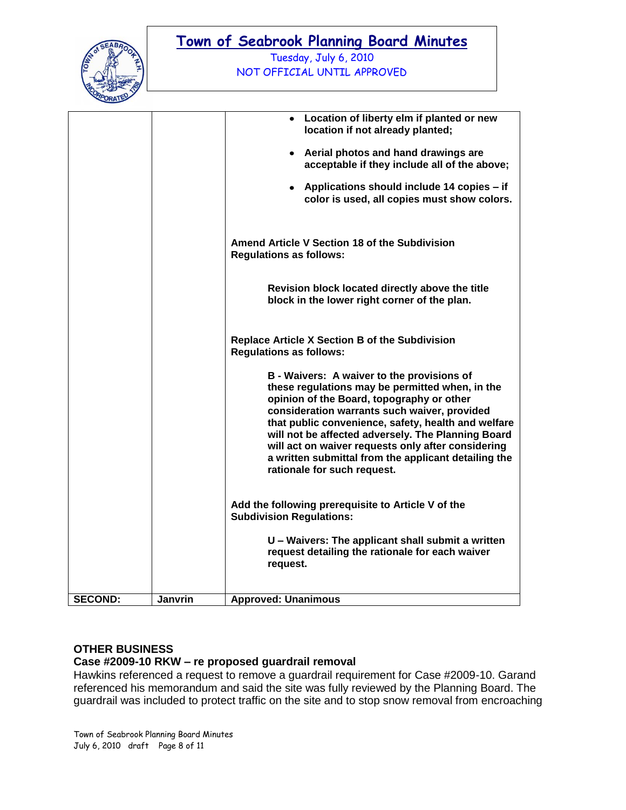

Tuesday, July 6, 2010 NOT OFFICIAL UNTIL APPROVED

|                |         | Location of liberty elm if planted or new<br>$\bullet$<br>location if not already planted;                                                                                                                                                                                                                                                                                                                                                           |
|----------------|---------|------------------------------------------------------------------------------------------------------------------------------------------------------------------------------------------------------------------------------------------------------------------------------------------------------------------------------------------------------------------------------------------------------------------------------------------------------|
|                |         | • Aerial photos and hand drawings are<br>acceptable if they include all of the above;                                                                                                                                                                                                                                                                                                                                                                |
|                |         | Applications should include 14 copies – if<br>color is used, all copies must show colors.                                                                                                                                                                                                                                                                                                                                                            |
|                |         | Amend Article V Section 18 of the Subdivision<br><b>Regulations as follows:</b>                                                                                                                                                                                                                                                                                                                                                                      |
|                |         | Revision block located directly above the title<br>block in the lower right corner of the plan.                                                                                                                                                                                                                                                                                                                                                      |
|                |         | Replace Article X Section B of the Subdivision<br><b>Regulations as follows:</b>                                                                                                                                                                                                                                                                                                                                                                     |
|                |         | B - Waivers: A waiver to the provisions of<br>these regulations may be permitted when, in the<br>opinion of the Board, topography or other<br>consideration warrants such waiver, provided<br>that public convenience, safety, health and welfare<br>will not be affected adversely. The Planning Board<br>will act on waiver requests only after considering<br>a written submittal from the applicant detailing the<br>rationale for such request. |
|                |         | Add the following prerequisite to Article V of the<br><b>Subdivision Regulations:</b>                                                                                                                                                                                                                                                                                                                                                                |
|                |         | U - Waivers: The applicant shall submit a written<br>request detailing the rationale for each waiver<br>request.                                                                                                                                                                                                                                                                                                                                     |
| <b>SECOND:</b> | Janvrin | <b>Approved: Unanimous</b>                                                                                                                                                                                                                                                                                                                                                                                                                           |

## **OTHER BUSINESS**

### **Case #2009-10 RKW – re proposed guardrail removal**

Hawkins referenced a request to remove a guardrail requirement for Case #2009-10. Garand referenced his memorandum and said the site was fully reviewed by the Planning Board. The guardrail was included to protect traffic on the site and to stop snow removal from encroaching

Town of Seabrook Planning Board Minutes July 6, 2010 draft Page 8 of 11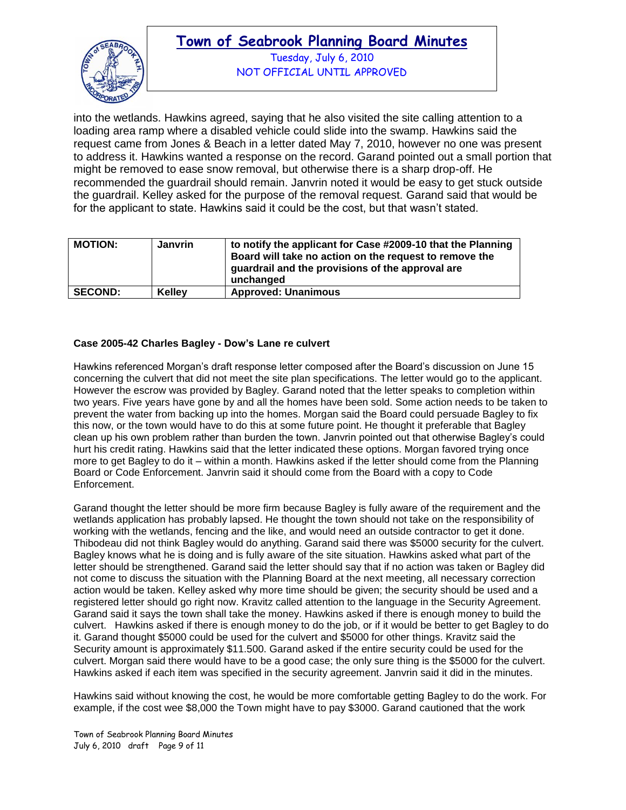

Tuesday, July 6, 2010 NOT OFFICIAL UNTIL APPROVED

into the wetlands. Hawkins agreed, saying that he also visited the site calling attention to a loading area ramp where a disabled vehicle could slide into the swamp. Hawkins said the request came from Jones & Beach in a letter dated May 7, 2010, however no one was present to address it. Hawkins wanted a response on the record. Garand pointed out a small portion that might be removed to ease snow removal, but otherwise there is a sharp drop-off. He recommended the guardrail should remain. Janvrin noted it would be easy to get stuck outside the guardrail. Kelley asked for the purpose of the removal request. Garand said that would be for the applicant to state. Hawkins said it could be the cost, but that wasn"t stated.

| <b>MOTION:</b> | <b>Janvrin</b> | to notify the applicant for Case #2009-10 that the Planning<br>Board will take no action on the request to remove the<br>guardrail and the provisions of the approval are<br>unchanged |
|----------------|----------------|----------------------------------------------------------------------------------------------------------------------------------------------------------------------------------------|
| <b>SECOND:</b> | <b>Kellev</b>  | <b>Approved: Unanimous</b>                                                                                                                                                             |

### **Case 2005-42 Charles Bagley - Dow's Lane re culvert**

Hawkins referenced Morgan"s draft response letter composed after the Board"s discussion on June 15 concerning the culvert that did not meet the site plan specifications. The letter would go to the applicant. However the escrow was provided by Bagley. Garand noted that the letter speaks to completion within two years. Five years have gone by and all the homes have been sold. Some action needs to be taken to prevent the water from backing up into the homes. Morgan said the Board could persuade Bagley to fix this now, or the town would have to do this at some future point. He thought it preferable that Bagley clean up his own problem rather than burden the town. Janvrin pointed out that otherwise Bagley"s could hurt his credit rating. Hawkins said that the letter indicated these options. Morgan favored trying once more to get Bagley to do it – within a month. Hawkins asked if the letter should come from the Planning Board or Code Enforcement. Janvrin said it should come from the Board with a copy to Code Enforcement.

Garand thought the letter should be more firm because Bagley is fully aware of the requirement and the wetlands application has probably lapsed. He thought the town should not take on the responsibility of working with the wetlands, fencing and the like, and would need an outside contractor to get it done. Thibodeau did not think Bagley would do anything. Garand said there was \$5000 security for the culvert. Bagley knows what he is doing and is fully aware of the site situation. Hawkins asked what part of the letter should be strengthened. Garand said the letter should say that if no action was taken or Bagley did not come to discuss the situation with the Planning Board at the next meeting, all necessary correction action would be taken. Kelley asked why more time should be given; the security should be used and a registered letter should go right now. Kravitz called attention to the language in the Security Agreement. Garand said it says the town shall take the money. Hawkins asked if there is enough money to build the culvert. Hawkins asked if there is enough money to do the job, or if it would be better to get Bagley to do it. Garand thought \$5000 could be used for the culvert and \$5000 for other things. Kravitz said the Security amount is approximately \$11.500. Garand asked if the entire security could be used for the culvert. Morgan said there would have to be a good case; the only sure thing is the \$5000 for the culvert. Hawkins asked if each item was specified in the security agreement. Janvrin said it did in the minutes.

Hawkins said without knowing the cost, he would be more comfortable getting Bagley to do the work. For example, if the cost wee \$8,000 the Town might have to pay \$3000. Garand cautioned that the work

Town of Seabrook Planning Board Minutes July 6, 2010 draft Page 9 of 11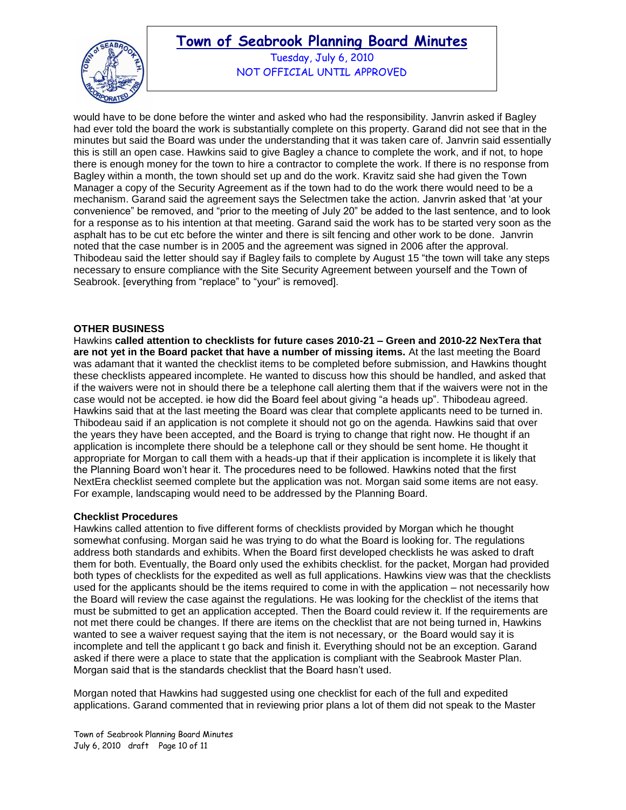

Tuesday, July 6, 2010 NOT OFFICIAL UNTIL APPROVED

would have to be done before the winter and asked who had the responsibility. Janvrin asked if Bagley had ever told the board the work is substantially complete on this property. Garand did not see that in the minutes but said the Board was under the understanding that it was taken care of. Janvrin said essentially this is still an open case. Hawkins said to give Bagley a chance to complete the work, and if not, to hope there is enough money for the town to hire a contractor to complete the work. If there is no response from Bagley within a month, the town should set up and do the work. Kravitz said she had given the Town Manager a copy of the Security Agreement as if the town had to do the work there would need to be a mechanism. Garand said the agreement says the Selectmen take the action. Janvrin asked that "at your convenience" be removed, and "prior to the meeting of July 20" be added to the last sentence, and to look for a response as to his intention at that meeting. Garand said the work has to be started very soon as the asphalt has to be cut etc before the winter and there is silt fencing and other work to be done. Janvrin noted that the case number is in 2005 and the agreement was signed in 2006 after the approval. Thibodeau said the letter should say if Bagley fails to complete by August 15 "the town will take any steps necessary to ensure compliance with the Site Security Agreement between yourself and the Town of Seabrook. [everything from "replace" to "your" is removed].

### **OTHER BUSINESS**

Hawkins **called attention to checklists for future cases 2010-21 – Green and 2010-22 NexTera that are not yet in the Board packet that have a number of missing items.** At the last meeting the Board was adamant that it wanted the checklist items to be completed before submission, and Hawkins thought these checklists appeared incomplete. He wanted to discuss how this should be handled, and asked that if the waivers were not in should there be a telephone call alerting them that if the waivers were not in the case would not be accepted. ie how did the Board feel about giving "a heads up". Thibodeau agreed. Hawkins said that at the last meeting the Board was clear that complete applicants need to be turned in. Thibodeau said if an application is not complete it should not go on the agenda. Hawkins said that over the years they have been accepted, and the Board is trying to change that right now. He thought if an application is incomplete there should be a telephone call or they should be sent home. He thought it appropriate for Morgan to call them with a heads-up that if their application is incomplete it is likely that the Planning Board won"t hear it. The procedures need to be followed. Hawkins noted that the first NextEra checklist seemed complete but the application was not. Morgan said some items are not easy. For example, landscaping would need to be addressed by the Planning Board.

### **Checklist Procedures**

Hawkins called attention to five different forms of checklists provided by Morgan which he thought somewhat confusing. Morgan said he was trying to do what the Board is looking for. The regulations address both standards and exhibits. When the Board first developed checklists he was asked to draft them for both. Eventually, the Board only used the exhibits checklist. for the packet, Morgan had provided both types of checklists for the expedited as well as full applications. Hawkins view was that the checklists used for the applicants should be the items required to come in with the application – not necessarily how the Board will review the case against the regulations. He was looking for the checklist of the items that must be submitted to get an application accepted. Then the Board could review it. If the requirements are not met there could be changes. If there are items on the checklist that are not being turned in, Hawkins wanted to see a waiver request saying that the item is not necessary, or the Board would say it is incomplete and tell the applicant t go back and finish it. Everything should not be an exception. Garand asked if there were a place to state that the application is compliant with the Seabrook Master Plan. Morgan said that is the standards checklist that the Board hasn"t used.

Morgan noted that Hawkins had suggested using one checklist for each of the full and expedited applications. Garand commented that in reviewing prior plans a lot of them did not speak to the Master

Town of Seabrook Planning Board Minutes July 6, 2010 draft Page 10 of 11